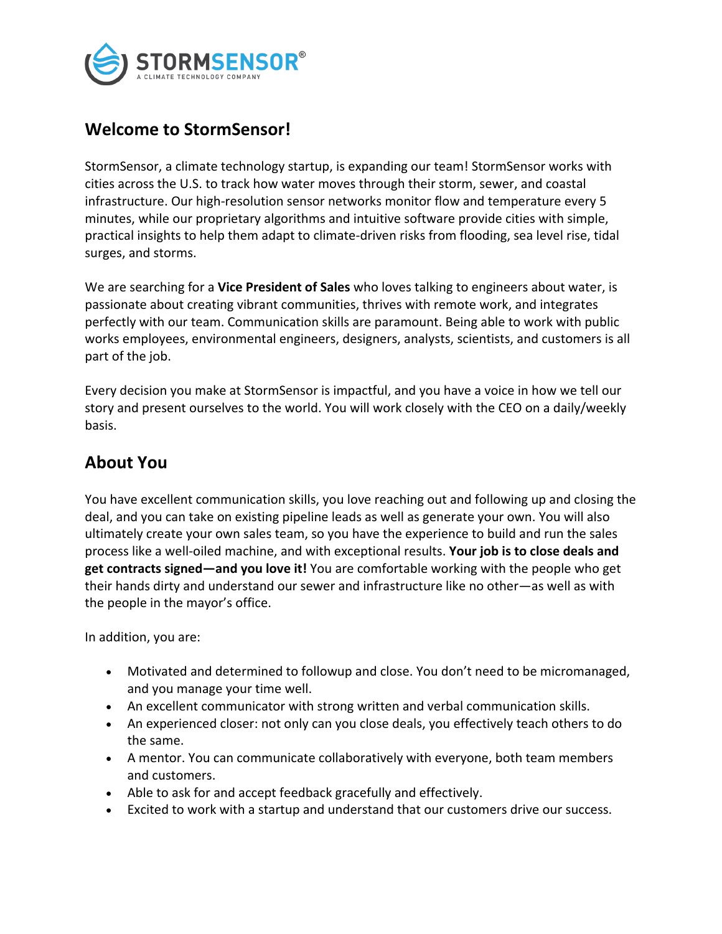

### **Welcome to StormSensor!**

StormSensor, a climate technology startup, is expanding our team! StormSensor works with cities across the U.S. to track how water moves through their storm, sewer, and coastal infrastructure. Our high-resolution sensor networks monitor flow and temperature every 5 minutes, while our proprietary algorithms and intuitive software provide cities with simple, practical insights to help them adapt to climate-driven risks from flooding, sea level rise, tidal surges, and storms.

We are searching for a **Vice President of Sales** who loves talking to engineers about water, is passionate about creating vibrant communities, thrives with remote work, and integrates perfectly with our team. Communication skills are paramount. Being able to work with public works employees, environmental engineers, designers, analysts, scientists, and customers is all part of the job.

Every decision you make at StormSensor is impactful, and you have a voice in how we tell our story and present ourselves to the world. You will work closely with the CEO on a daily/weekly basis.

## **About You**

You have excellent communication skills, you love reaching out and following up and closing the deal, and you can take on existing pipeline leads as well as generate your own. You will also ultimately create your own sales team, so you have the experience to build and run the sales process like a well-oiled machine, and with exceptional results. **Your job is to close deals and get contracts signed—and you love it!** You are comfortable working with the people who get their hands dirty and understand our sewer and infrastructure like no other—as well as with the people in the mayor's office.

In addition, you are:

- Motivated and determined to followup and close. You don't need to be micromanaged, and you manage your time well.
- An excellent communicator with strong written and verbal communication skills.
- An experienced closer: not only can you close deals, you effectively teach others to do the same.
- A mentor. You can communicate collaboratively with everyone, both team members and customers.
- Able to ask for and accept feedback gracefully and effectively.
- Excited to work with a startup and understand that our customers drive our success.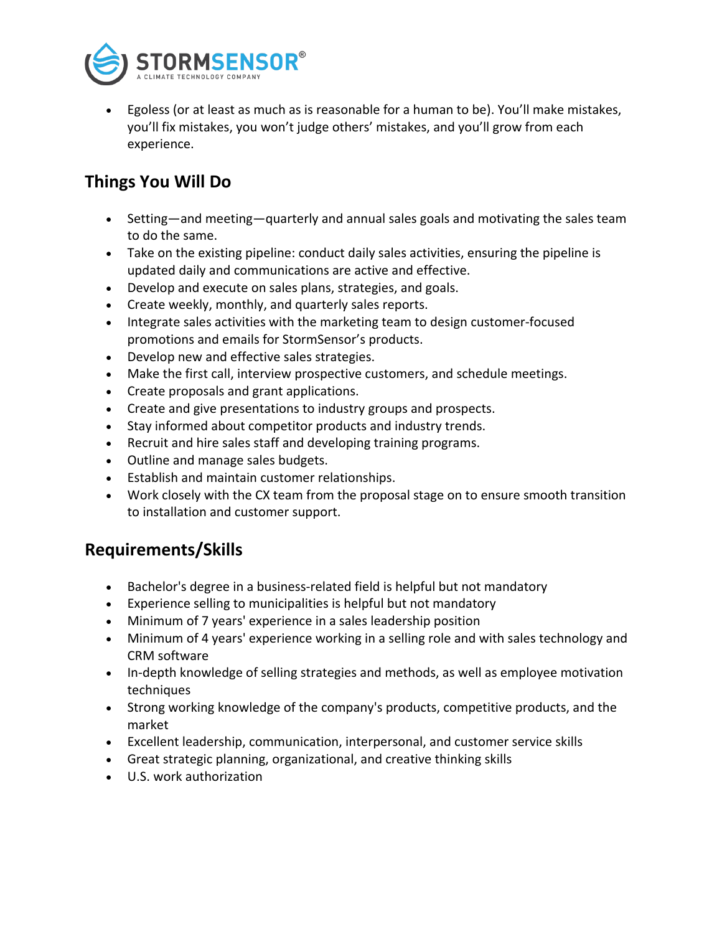

• Egoless (or at least as much as is reasonable for a human to be). You'll make mistakes, you'll fix mistakes, you won't judge others' mistakes, and you'll grow from each experience.

## **Things You Will Do**

- Setting—and meeting—quarterly and annual sales goals and motivating the sales team to do the same.
- Take on the existing pipeline: conduct daily sales activities, ensuring the pipeline is updated daily and communications are active and effective.
- Develop and execute on sales plans, strategies, and goals.
- Create weekly, monthly, and quarterly sales reports.
- Integrate sales activities with the marketing team to design customer-focused promotions and emails for StormSensor's products.
- Develop new and effective sales strategies.
- Make the first call, interview prospective customers, and schedule meetings.
- Create proposals and grant applications.
- Create and give presentations to industry groups and prospects.
- Stay informed about competitor products and industry trends.
- Recruit and hire sales staff and developing training programs.
- Outline and manage sales budgets.
- Establish and maintain customer relationships.
- Work closely with the CX team from the proposal stage on to ensure smooth transition to installation and customer support.

#### **Requirements/Skills**

- Bachelor's degree in a business-related field is helpful but not mandatory
- Experience selling to municipalities is helpful but not mandatory
- Minimum of 7 years' experience in a sales leadership position
- Minimum of 4 years' experience working in a selling role and with sales technology and CRM software
- In-depth knowledge of selling strategies and methods, as well as employee motivation techniques
- Strong working knowledge of the company's products, competitive products, and the market
- Excellent leadership, communication, interpersonal, and customer service skills
- Great strategic planning, organizational, and creative thinking skills
- U.S. work authorization